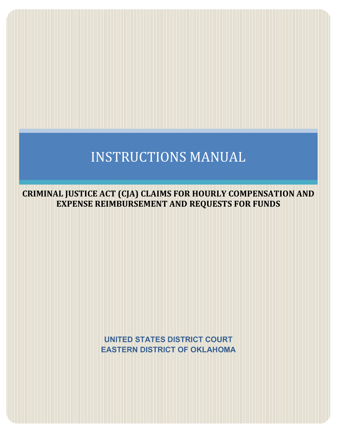# INSTRUCTIONS MANUAL

**CRIMINAL JUSTICE ACT (CJA) CLAIMS FOR HOURLY COMPENSATION AND EXPENSE REIMBURSEMENT AND REQUESTS FOR FUNDS**

> **UNITED STATES DISTRICT COURT EASTERN DISTRICT OF OKLAHOMA**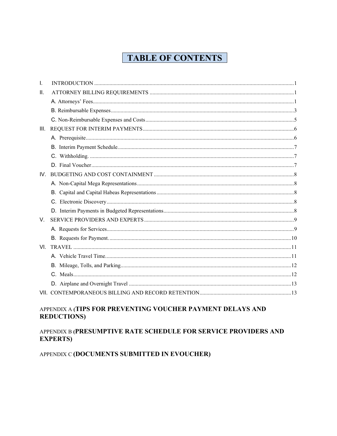# **TABLE OF CONTENTS**

| Τ.   |  |
|------|--|
| Ш.   |  |
|      |  |
|      |  |
|      |  |
| III. |  |
|      |  |
|      |  |
|      |  |
|      |  |
| IV.  |  |
|      |  |
|      |  |
|      |  |
|      |  |
| V.   |  |
|      |  |
|      |  |
|      |  |
|      |  |
|      |  |
|      |  |
|      |  |
|      |  |

# APPENDIX A (TIPS FOR PREVENTING VOUCHER PAYMENT DELAYS AND **REDUCTIONS**)

# APPENDIX B (PRESUMPTIVE RATE SCHEDULE FOR SERVICE PROVIDERS AND **EXPERTS**)

APPENDIX C (DOCUMENTS SUBMITTED IN EVOUCHER)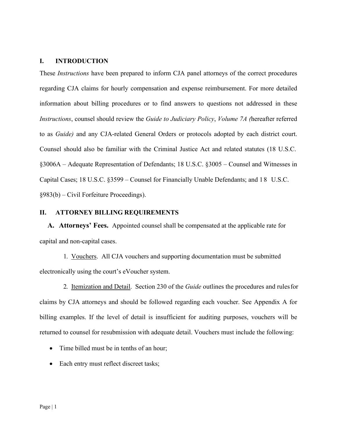# <span id="page-2-0"></span>**I. INTRODUCTION**

These *Instructions* have been prepared to inform CJA panel attorneys of the correct procedures regarding CJA claims for hourly compensation and expense reimbursement. For more detailed information about billing procedures or to find answers to questions not addressed in these *Instructions*, counsel should review the *Guide to Judiciary Policy*, *Volume 7A (*hereafter referred to as *Guide)* and any CJA-related General Orders or protocols adopted by each district court. Counsel should also be familiar with the Criminal Justice Act and related statutes (18 U.S.C. §3006A – Adequate Representation of Defendants; 18 U.S.C. §3005 – Counsel and Witnesses in Capital Cases; 18 U.S.C. §3599 – Counsel for Financially Unable Defendants; and 1 8 U.S.C. §983(b) – Civil Forfeiture Proceedings).

# <span id="page-2-2"></span><span id="page-2-1"></span>**II. ATTORNEY BILLING REQUIREMENTS**

**A. Attorneys' Fees.** Appointed counsel shall be compensated at the applicable rate for capital and non-capital cases.

1. Vouchers. All CJA vouchers and supporting documentation must be submitted electronically using the court's eVoucher system.

2. Itemization and Detail. Section 230 of the *Guide* outlines the procedures and rulesfor claims by CJA attorneys and should be followed regarding each voucher. See Appendix A for billing examples. If the level of detail is insufficient for auditing purposes, vouchers will be returned to counsel for resubmission with adequate detail. Vouchers must include the following:

- Time billed must be in tenths of an hour;
- Each entry must reflect discreet tasks;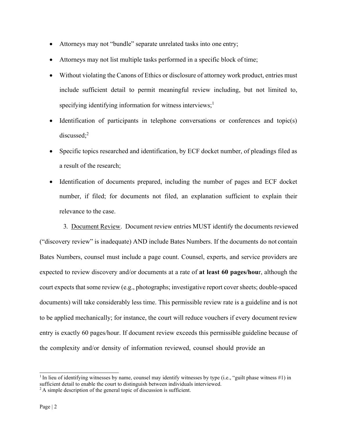- Attorneys may not "bundle" separate unrelated tasks into one entry;
- Attorneys may not list multiple tasks performed in a specific block of time;
- Without violating the Canons of Ethics or disclosure of attorney work product, entries must include sufficient detail to permit meaningful review including, but not limited to, specifying identifying information for witness interviews; $<sup>1</sup>$ </sup>
- Identification of participants in telephone conversations or conferences and topic(s) discussed:<sup>2</sup>
- Specific topics researched and identification, by ECF docket number, of pleadings filed as a result of the research;
- Identification of documents prepared, including the number of pages and ECF docket number, if filed; for documents not filed, an explanation sufficient to explain their relevance to the case.

3. Document Review. Document review entries MUST identify the documents reviewed ("discovery review" is inadequate) AND include Bates Numbers. If the documents do not contain Bates Numbers, counsel must include a page count. Counsel, experts, and service providers are expected to review discovery and/or documents at a rate of **at least 60 pages/hou**r, although the court expects that some review (e.g., photographs; investigative report cover sheets; double-spaced documents) will take considerably less time. This permissible review rate is a guideline and is not to be applied mechanically; for instance, the court will reduce vouchers if every document review entry is exactly 60 pages/hour. If document review exceeds this permissible guideline because of the complexity and/or density of information reviewed, counsel should provide an

<sup>&</sup>lt;sup>1</sup> In lieu of identifying witnesses by name, counsel may identify witnesses by type (i.e., "guilt phase witness #1) in sufficient detail to enable the court to distinguish between individuals interviewed.

 $2A$  simple description of the general topic of discussion is sufficient.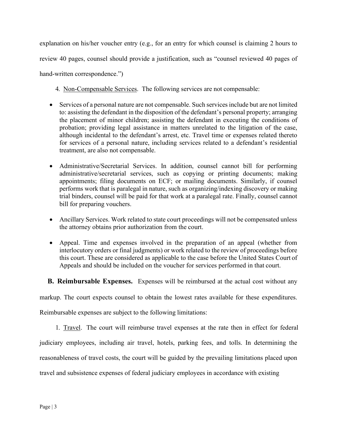explanation on his/her voucher entry (e.g., for an entry for which counsel is claiming 2 hours to review 40 pages, counsel should provide a justification, such as "counsel reviewed 40 pages of hand-written correspondence.")

- 4. Non-Compensable Services. The following services are not compensable:
- Services of a personal nature are not compensable. Such services include but are not limited to: assisting the defendant in the disposition of the defendant's personal property; arranging the placement of minor children; assisting the defendant in executing the conditions of probation; providing legal assistance in matters unrelated to the litigation of the case, although incidental to the defendant's arrest, etc. Travel time or expenses related thereto for services of a personal nature, including services related to a defendant's residential treatment, are also not compensable.
- Administrative/Secretarial Services. In addition, counsel cannot bill for performing administrative/secretarial services, such as copying or printing documents; making appointments; filing documents on ECF; or mailing documents. Similarly, if counsel performs work that is paralegal in nature, such as organizing/indexing discovery or making trial binders, counsel will be paid for that work at a paralegal rate. Finally, counsel cannot bill for preparing vouchers.
- Ancillary Services. Work related to state court proceedings will not be compensated unless the attorney obtains prior authorization from the court.
- Appeal. Time and expenses involved in the preparation of an appeal (whether from interlocutory orders or final judgments) or work related to the review of proceedings before this court. These are considered as applicable to the case before the United States Court of Appeals and should be included on the voucher for services performed in that court.

**B. Reimbursable Expenses.** Expenses will be reimbursed at the actual cost without any

<span id="page-4-0"></span>markup. The court expects counsel to obtain the lowest rates available for these expenditures.

Reimbursable expenses are subject to the following limitations:

1. Travel. The court will reimburse travel expenses at the rate then in effect for federal judiciary employees, including air travel, hotels, parking fees, and tolls. In determining the reasonableness of travel costs, the court will be guided by the prevailing limitations placed upon travel and subsistence expenses of federal judiciary employees in accordance with existing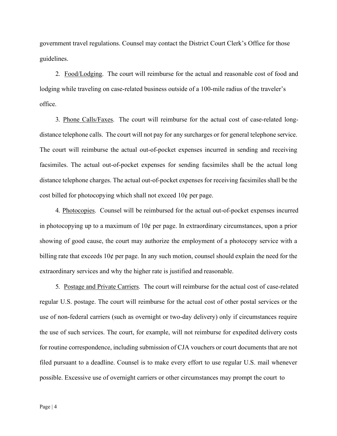government travel regulations. Counsel may contact the District Court Clerk's Office for those guidelines.

2. Food/Lodging. The court will reimburse for the actual and reasonable cost of food and lodging while traveling on case-related business outside of a 100-mile radius of the traveler's office.

3. Phone Calls/Faxes. The court will reimburse for the actual cost of case-related longdistance telephone calls. The court will not pay for any surcharges or for general telephone service. The court will reimburse the actual out-of-pocket expenses incurred in sending and receiving facsimiles. The actual out-of-pocket expenses for sending facsimiles shall be the actual long distance telephone charges. The actual out-of-pocket expenses for receiving facsimiles shall be the cost billed for photocopying which shall not exceed  $10¢$  per page.

4. Photocopies. Counsel will be reimbursed for the actual out-of-pocket expenses incurred in photocopying up to a maximum of  $10¢$  per page. In extraordinary circumstances, upon a prior showing of good cause, the court may authorize the employment of a photocopy service with a billing rate that exceeds 10¢ per page. In any such motion, counsel should explain the need for the extraordinary services and why the higher rate is justified and reasonable.

5. Postage and Private Carriers. The court will reimburse for the actual cost of case-related regular U.S. postage. The court will reimburse for the actual cost of other postal services or the use of non-federal carriers (such as overnight or two-day delivery) only if circumstances require the use of such services. The court, for example, will not reimburse for expedited delivery costs for routine correspondence, including submission of CJA vouchers or court documents that are not filed pursuant to a deadline. Counsel is to make every effort to use regular U.S. mail whenever possible. Excessive use of overnight carriers or other circumstances may prompt the court to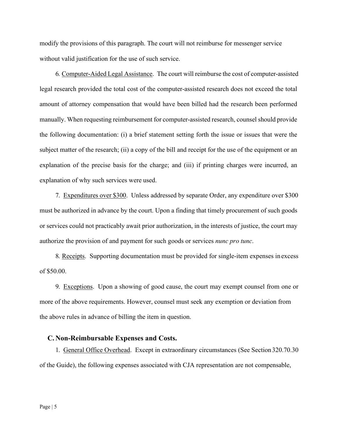modify the provisions of this paragraph. The court will not reimburse for messenger service without valid justification for the use of such service.

6. Computer-Aided Legal Assistance. The court will reimburse the cost of computer-assisted legal research provided the total cost of the computer-assisted research does not exceed the total amount of attorney compensation that would have been billed had the research been performed manually. When requesting reimbursement for computer-assisted research, counsel should provide the following documentation: (i) a brief statement setting forth the issue or issues that were the subject matter of the research; (ii) a copy of the bill and receipt for the use of the equipment or an explanation of the precise basis for the charge; and (iii) if printing charges were incurred, an explanation of why such services were used.

7. Expenditures over \$300. Unless addressed by separate Order, any expenditure over \$300 must be authorized in advance by the court. Upon a finding that timely procurement of such goods or services could not practicably await prior authorization, in the interests of justice, the court may authorize the provision of and payment for such goods or services *nunc pro tunc*.

8. Receipts. Supporting documentation must be provided for single-item expenses inexcess of \$50.00.

9. Exceptions. Upon a showing of good cause, the court may exempt counsel from one or more of the above requirements. However, counsel must seek any exemption or deviation from the above rules in advance of billing the item in question.

## **C. Non-Reimbursable Expenses and Costs.**

<span id="page-6-0"></span>1. General Office Overhead. Except in extraordinary circumstances (See Section320.70.30 of the Guide), the following expenses associated with CJA representation are not compensable,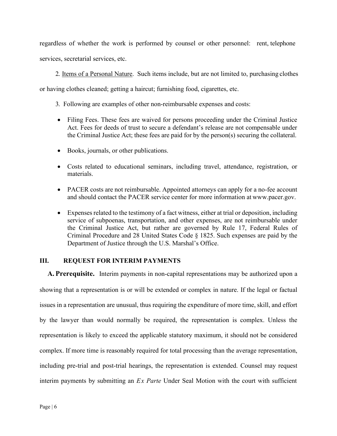regardless of whether the work is performed by counsel or other personnel: rent, telephone services, secretarial services, etc.

2. Items of a Personal Nature. Such items include, but are not limited to, purchasing clothes or having clothes cleaned; getting a haircut; furnishing food, cigarettes, etc.

- 3. Following are examples of other non-reimbursable expenses and costs:
- Filing Fees. These fees are waived for persons proceeding under the Criminal Justice Act. Fees for deeds of trust to secure a defendant's release are not compensable under the Criminal Justice Act; these fees are paid for by the person(s) securing the collateral.
- Books, journals, or other publications.
- Costs related to educational seminars, including travel, attendance, registration, or materials.
- PACER costs are not reimbursable. Appointed attorneys can apply for a no-fee account and should contact the PACER service center for more information at [www.pacer.gov.](http://www.pacer.gov/)
- Expenses related to the testimony of a fact witness, either at trial or deposition, including service of subpoenas, transportation, and other expenses, are not reimbursable under the Criminal Justice Act, but rather are governed by Rule 17, Federal Rules of Criminal Procedure and 28 United States Code § 1825. Such expenses are paid by the Department of Justice through the U.S. Marshal's Office.

# <span id="page-7-0"></span>**III. REQUEST FOR INTERIM PAYMENTS**

<span id="page-7-1"></span>**A. Prerequisite.** Interim payments in non-capital representations may be authorized upon a showing that a representation is or will be extended or complex in nature. If the legal or factual issues in a representation are unusual, thus requiring the expenditure of more time, skill, and effort by the lawyer than would normally be required, the representation is complex. Unless the representation is likely to exceed the applicable statutory maximum, it should not be considered complex. If more time is reasonably required for total processing than the average representation, including pre-trial and post-trial hearings, the representation is extended. Counsel may request interim payments by submitting an *Ex Parte* Under Seal Motion with the court with sufficient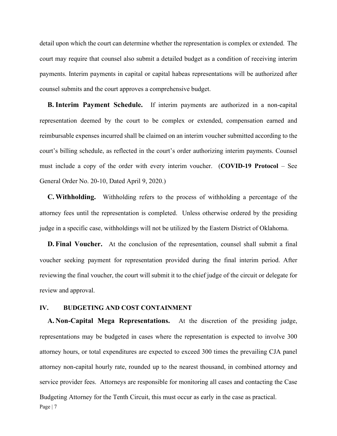detail upon which the court can determine whether the representation is complex or extended. The court may require that counsel also submit a detailed budget as a condition of receiving interim payments. Interim payments in capital or capital habeas representations will be authorized after counsel submits and the court approves a comprehensive budget.

<span id="page-8-0"></span>**B. Interim Payment Schedule.** If interim payments are authorized in a non-capital representation deemed by the court to be complex or extended, compensation earned and reimbursable expenses incurred shall be claimed on an interim voucher submitted according to the court's billing schedule, as reflected in the court's order authorizing interim payments. Counsel must include a copy of the order with every interim voucher. (**COVID-19 Protocol** – See General Order No. 20-10, Dated April 9, 2020.)

<span id="page-8-1"></span>**C. Withholding.** Withholding refers to the process of withholding a percentage of the attorney fees until the representation is completed. Unless otherwise ordered by the presiding judge in a specific case, withholdings will not be utilized by the Eastern District of Oklahoma.

<span id="page-8-2"></span>**D. Final Voucher.** At the conclusion of the representation, counsel shall submit a final voucher seeking payment for representation provided during the final interim period. After reviewing the final voucher, the court will submit it to the chief judge of the circuit or delegate for review and approval.

#### <span id="page-8-3"></span>**IV. BUDGETING AND COST CONTAINMENT**

<span id="page-8-4"></span>Page | 7 **A. Non-Capital Mega Representations.** At the discretion of the presiding judge, representations may be budgeted in cases where the representation is expected to involve 300 attorney hours, or total expenditures are expected to exceed 300 times the prevailing CJA panel attorney non-capital hourly rate, rounded up to the nearest thousand, in combined attorney and service provider fees. Attorneys are responsible for monitoring all cases and contacting the Case Budgeting Attorney for the Tenth Circuit, this must occur as early in the case as practical.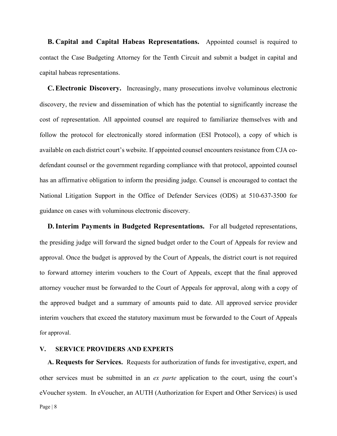<span id="page-9-0"></span>**B. Capital and Capital Habeas Representations.** Appointed counsel is required to contact the Case Budgeting Attorney for the Tenth Circuit and submit a budget in capital and capital habeas representations.

<span id="page-9-1"></span>**C.Electronic Discovery.** Increasingly, many prosecutions involve voluminous electronic discovery, the review and dissemination of which has the potential to significantly increase the cost of representation. All appointed counsel are required to familiarize themselves with and follow the protocol for electronically stored information (ESI Protocol), a copy of which is available on each district court's website. If appointed counsel encounters resistance from CJA codefendant counsel or the government regarding compliance with that protocol, appointed counsel has an affirmative obligation to inform the presiding judge. Counsel is encouraged to contact the National Litigation Support in the Office of Defender Services (ODS) at 510-637-3500 for guidance on cases with voluminous electronic discovery.

<span id="page-9-2"></span>**D.Interim Payments in Budgeted Representations.** For all budgeted representations, the presiding judge will forward the signed budget order to the Court of Appeals for review and approval. Once the budget is approved by the Court of Appeals, the district court is not required to forward attorney interim vouchers to the Court of Appeals, except that the final approved attorney voucher must be forwarded to the Court of Appeals for approval, along with a copy of the approved budget and a summary of amounts paid to date. All approved service provider interim vouchers that exceed the statutory maximum must be forwarded to the Court of Appeals for approval.

# <span id="page-9-3"></span>**V. SERVICE PROVIDERS AND EXPERTS**

<span id="page-9-4"></span>Page | 8 **A. Requests for Services.** Requests for authorization of funds for investigative, expert, and other services must be submitted in an *ex parte* application to the court, using the court's eVoucher system. In eVoucher, an AUTH (Authorization for Expert and Other Services) is used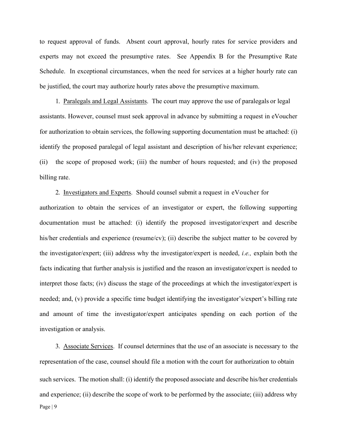to request approval of funds. Absent court approval, hourly rates for service providers and experts may not exceed the presumptive rates. See Appendix B for the Presumptive Rate Schedule. In exceptional circumstances, when the need for services at a higher hourly rate can be justified, the court may authorize hourly rates above the presumptive maximum.

1. Paralegals and Legal Assistants. The court may approve the use of paralegals or legal assistants. However, counsel must seek approval in advance by submitting a request in eVoucher for authorization to obtain services, the following supporting documentation must be attached: (i) identify the proposed paralegal of legal assistant and description of his/her relevant experience; (ii) the scope of proposed work; (iii) the number of hours requested; and (iv) the proposed billing rate.

### 2. Investigators and Experts. Should counsel submit a request in eVoucher for

authorization to obtain the services of an investigator or expert, the following supporting documentation must be attached: (i) identify the proposed investigator/expert and describe his/her credentials and experience (resume/cv); (ii) describe the subject matter to be covered by the investigator/expert; (iii) address why the investigator/expert is needed, *i.e.,* explain both the facts indicating that further analysis is justified and the reason an investigator/expert is needed to interpret those facts; (iv) discuss the stage of the proceedings at which the investigator/expert is needed; and, (v) provide a specific time budget identifying the investigator's/expert's billing rate and amount of time the investigator/expert anticipates spending on each portion of the investigation or analysis.

Page | 9 3. Associate Services. If counsel determines that the use of an associate is necessary to the representation of the case, counsel should file a motion with the court for authorization to obtain such services. The motion shall: (i) identify the proposed associate and describe his/her credentials and experience; (ii) describe the scope of work to be performed by the associate; (iii) address why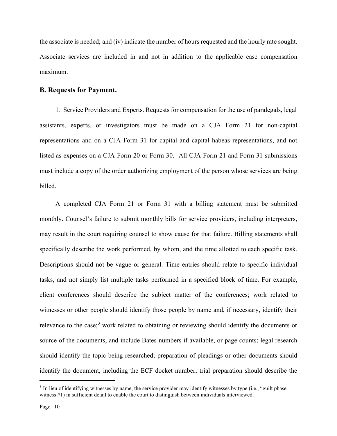the associate is needed; and (iv) indicate the number of hours requested and the hourly rate sought. Associate services are included in and not in addition to the applicable case compensation maximum.

## <span id="page-11-0"></span>**B. Requests for Payment.**

1. Service Providers and Experts. Requests for compensation for the use of paralegals, legal assistants, experts, or investigators must be made on a CJA Form 21 for non-capital representations and on a CJA Form 31 for capital and capital habeas representations, and not listed as expenses on a CJA Form 20 or Form 30. All CJA Form 21 and Form 31 submissions must include a copy of the order authorizing employment of the person whose services are being billed.

A completed CJA Form 21 or Form 31 with a billing statement must be submitted monthly. Counsel's failure to submit monthly bills for service providers, including interpreters, may result in the court requiring counsel to show cause for that failure. Billing statements shall specifically describe the work performed, by whom, and the time allotted to each specific task. Descriptions should not be vague or general. Time entries should relate to specific individual tasks, and not simply list multiple tasks performed in a specified block of time. For example, client conferences should describe the subject matter of the conferences; work related to witnesses or other people should identify those people by name and, if necessary, identify their relevance to the case;<sup>[3](#page-11-1)</sup> work related to obtaining or reviewing should identify the documents or source of the documents, and include Bates numbers if available, or page counts; legal research should identify the topic being researched; preparation of pleadings or other documents should identify the document, including the ECF docket number; trial preparation should describe the

<span id="page-11-1"></span> $3$  In lieu of identifying witnesses by name, the service provider may identify witnesses by type (i.e., "guilt phase witness #1) in sufficient detail to enable the court to distinguish between individuals interviewed.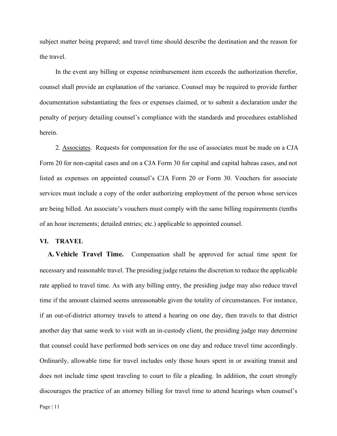subject matter being prepared; and travel time should describe the destination and the reason for the travel.

In the event any billing or expense reimbursement item exceeds the authorization therefor, counsel shall provide an explanation of the variance. Counsel may be required to provide further documentation substantiating the fees or expenses claimed, or to submit a declaration under the penalty of perjury detailing counsel's compliance with the standards and procedures established herein.

2. Associates. Requests for compensation for the use of associates must be made on a CJA Form 20 for non-capital cases and on a CJA Form 30 for capital and capital habeas cases, and not listed as expenses on appointed counsel's CJA Form 20 or Form 30. Vouchers for associate services must include a copy of the order authorizing employment of the person whose services are being billed. An associate's vouchers must comply with the same billing requirements (tenths of an hour increments; detailed entries; etc.) applicable to appointed counsel.

#### <span id="page-12-1"></span><span id="page-12-0"></span>**VI. TRAVEL**

**A. Vehicle Travel Time.** Compensation shall be approved for actual time spent for necessary and reasonable travel. The presiding judge retains the discretion to reduce the applicable rate applied to travel time. As with any billing entry, the presiding judge may also reduce travel time if the amount claimed seems unreasonable given the totality of circumstances. For instance, if an out-of-district attorney travels to attend a hearing on one day, then travels to that district another day that same week to visit with an in-custody client, the presiding judge may determine that counsel could have performed both services on one day and reduce travel time accordingly. Ordinarily, allowable time for travel includes only those hours spent in or awaiting transit and does not include time spent traveling to court to file a pleading. In addition, the court strongly discourages the practice of an attorney billing for travel time to attend hearings when counsel's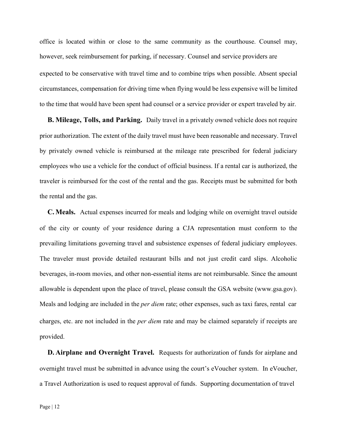office is located within or close to the same community as the courthouse. Counsel may, however, seek reimbursement for parking, if necessary. Counsel and service providers are expected to be conservative with travel time and to combine trips when possible. Absent special circumstances, compensation for driving time when flying would be less expensive will be limited to the time that would have been spent had counsel or a service provider or expert traveled by air.

<span id="page-13-0"></span>**B. Mileage, Tolls, and Parking.** Daily travel in a privately owned vehicle does not require prior authorization. The extent of the daily travel must have been reasonable and necessary. Travel by privately owned vehicle is reimbursed at the mileage rate prescribed for federal judiciary employees who use a vehicle for the conduct of official business. If a rental car is authorized, the traveler is reimbursed for the cost of the rental and the gas. Receipts must be submitted for both the rental and the gas.

<span id="page-13-1"></span>**C. Meals.** Actual expenses incurred for meals and lodging while on overnight travel outside of the city or county of your residence during a CJA representation must conform to the prevailing limitations governing travel and subsistence expenses of federal judiciary employees. The traveler must provide detailed restaurant bills and not just credit card slips. Alcoholic beverages, in-room movies, and other non-essential items are not reimbursable. Since the amount allowable is dependent upon the place of travel, please consult the GSA website (www.gsa.gov). Meals and lodging are included in the *per diem* rate; other expenses, such as taxi fares, rental car charges, etc. are not included in the *per diem* rate and may be claimed separately if receipts are provided.

<span id="page-13-2"></span>**D. Airplane and Overnight Travel.** Requests for authorization of funds for airplane and overnight travel must be submitted in advance using the court's eVoucher system. In eVoucher, a Travel Authorization is used to request approval of funds. Supporting documentation of travel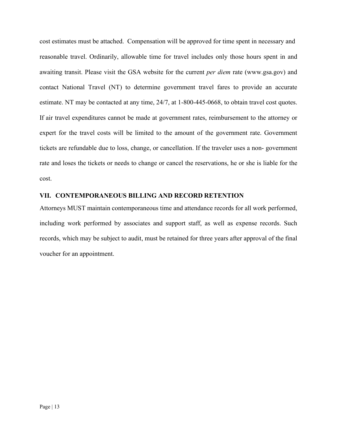cost estimates must be attached. Compensation will be approved for time spent in necessary and reasonable travel. Ordinarily, allowable time for travel includes only those hours spent in and awaiting transit. Please visit the GSA website for the current *per diem* rate (www.gsa.gov) and contact National Travel (NT) to determine government travel fares to provide an accurate estimate. NT may be contacted at any time, 24/7, at 1-800-445-0668, to obtain travel cost quotes. If air travel expenditures cannot be made at government rates, reimbursement to the attorney or expert for the travel costs will be limited to the amount of the government rate. Government tickets are refundable due to loss, change, or cancellation. If the traveler uses a non- government rate and loses the tickets or needs to change or cancel the reservations, he or she is liable for the cost.

# <span id="page-14-0"></span>**VII. CONTEMPORANEOUS BILLING AND RECORD RETENTION**

Attorneys MUST maintain contemporaneous time and attendance records for all work performed, including work performed by associates and support staff, as well as expense records. Such records, which may be subject to audit, must be retained for three years after approval of the final voucher for an appointment.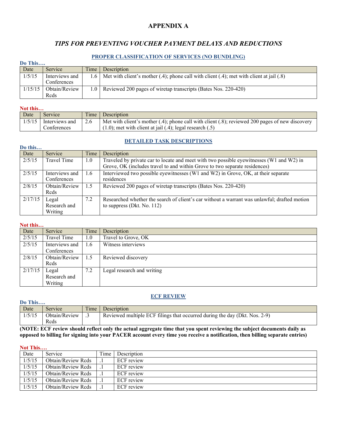# **APPENDIX A**

# *TIPS FOR PREVENTING VOUCHER PAYMENT DELAYS AND REDUCTIONS*

#### **PROPER CLASSIFICATION OF SERVICES (NO BUNDLING)**

<span id="page-15-0"></span>

| Do This |                               |                  |                                                                                              |  |
|---------|-------------------------------|------------------|----------------------------------------------------------------------------------------------|--|
| Date    | Service                       | Time             | Description                                                                                  |  |
| 1/5/15  | Interviews and<br>Conferences |                  | 1.6 Met with client's mother (.4); phone call with client (.4); met with client at jail (.8) |  |
| 1/15/15 | Obtain/Review<br>Reds         | 1.0 <sub>1</sub> | Reviewed 200 pages of wiretap transcripts (Bates Nos. 220-420)                               |  |

#### **Not this…**

| Date | <b>Service</b>          | Time | <b>Description</b>                                                                              |
|------|-------------------------|------|-------------------------------------------------------------------------------------------------|
|      | $1/5/15$ Interviews and | 2.6  | Met with client's mother (.4); phone call with client (.8); reviewed 200 pages of new discovery |
|      | <b>Conferences</b>      |      | $(1.0)$ ; met with client at jail $(.4)$ ; legal research $(.5)$                                |

## **DETAILED TASK DESCRIPTIONS**

| Do this |                                  |      |                                                                                                                                                                        |
|---------|----------------------------------|------|------------------------------------------------------------------------------------------------------------------------------------------------------------------------|
| Date    | Service                          | Time | Description                                                                                                                                                            |
| 2/5/15  | <b>Travel Time</b>               | 1.0  | Traveled by private car to locate and meet with two possible eyewitnesses (W1 and W2) in<br>Grove, OK (includes travel to and within Grove to two separate residences) |
| 2/5/15  | Interviews and<br>Conferences    | 1.6  | Interviewed two possible eyewitnesses (W1 and W2) in Grove, OK, at their separate<br>residences                                                                        |
| 2/8/15  | Obtain/Review<br>Reds            | 1.5  | Reviewed 200 pages of wiretap transcripts (Bates Nos. 220-420)                                                                                                         |
| 2/17/15 | Legal<br>Research and<br>Writing | 7.2  | Researched whether the search of client's car without a warrant was unlawful; drafted motion<br>to suppress (Dkt. No. $112$ )                                          |

# **Not this…**

| Date    | Service        | Time | Description                |
|---------|----------------|------|----------------------------|
| 2/5/15  | Travel Time    | 1.0  | Travel to Grove, OK        |
| 2/5/15  | Interviews and | 1.6  | Witness interviews         |
|         | Conferences    |      |                            |
| 2/8/15  | Obtain/Review  | 1.5  | Reviewed discovery         |
|         | Reds           |      |                            |
| 2/17/15 | Legal          | 7.2  | Legal research and writing |
|         | Research and   |      |                            |
|         | Writing        |      |                            |

#### **ECF REVIEW**

| Do This                                                        |               |      |                                                                            |  |  |
|----------------------------------------------------------------|---------------|------|----------------------------------------------------------------------------|--|--|
| Date                                                           | Service       | Time | Description                                                                |  |  |
| 1/5/15                                                         | Obtain/Review |      | Reviewed multiple ECF filings that occurred during the day (Dkt. Nos. 2-9) |  |  |
|                                                                | Reds          |      |                                                                            |  |  |
| ATQCDD, TQCD<br>.<br>$\sim$ $\sim$ $\sim$ $\sim$ $\sim$ $\sim$ |               |      |                                                                            |  |  |

**(NOTE: ECF review should reflect only the actual aggregate time that you spent reviewing the subject documents daily as opposed to billing for signing into your PACER account every time you receive a notification, then billing separate entries)**

#### **Not This….**

| $\cdots$ |                    |       |                   |
|----------|--------------------|-------|-------------------|
| Date     | Service            | Time. | Description       |
| 1/5/15   | Obtain/Review Rcds |       | <b>ECF</b> review |
| 1/5/15   | Obtain/Review Reds |       | <b>ECF</b> review |
| 1/5/15   | Obtain/Review Rcds |       | <b>ECF</b> review |
| 1/5/15   | Obtain/Review Rcds |       | <b>ECF</b> review |
| 1/5/15   | Obtain/Review Rcds |       | <b>ECF</b> review |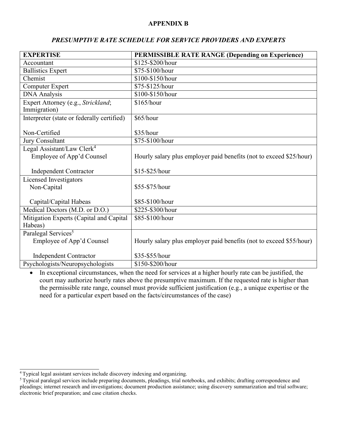# **APPENDIX B**

# *PRESUMPTIVE RATE SCHEDULE FOR SERVICE PROVIDERS AND EXPERTS*

<span id="page-16-0"></span>

| <b>EXPERTISE</b>                                   | <b>PERMISSIBLE RATE RANGE (Depending on Experience)</b>             |
|----------------------------------------------------|---------------------------------------------------------------------|
| Accountant                                         | \$125-\$200/hour                                                    |
| <b>Ballistics Expert</b>                           | \$75-\$100/hour                                                     |
| Chemist                                            | \$100-\$150/hour                                                    |
| Computer Expert                                    | \$75-\$125/hour                                                     |
| <b>DNA</b> Analysis                                | \$100-\$150/hour                                                    |
| Expert Attorney (e.g., Strickland;<br>Immigration) | \$165/hour                                                          |
| Interpreter (state or federally certified)         | \$65/hour                                                           |
| Non-Certified                                      | \$35/hour                                                           |
| Jury Consultant                                    | \$75-\$100/hour                                                     |
| Legal Assistant/Law Clerk <sup>4</sup>             |                                                                     |
| Employee of App'd Counsel                          | Hourly salary plus employer paid benefits (not to exceed \$25/hour) |
| <b>Independent Contractor</b>                      | \$15-\$25/hour                                                      |
| Licensed Investigators                             |                                                                     |
| Non-Capital                                        | \$55-\$75/hour                                                      |
| Capital/Capital Habeas                             | \$85-\$100/hour                                                     |
| Medical Doctors (M.D. or D.O.)                     | \$225-\$300/hour                                                    |
| Mitigation Experts (Capital and Capital<br>Habeas) | \$85-\$100/hour                                                     |
| Paralegal Services <sup>5</sup>                    |                                                                     |
| Employee of App'd Counsel                          | Hourly salary plus employer paid benefits (not to exceed \$55/hour) |
|                                                    |                                                                     |
| <b>Independent Contractor</b>                      | \$35-\$55/hour                                                      |
| Psychologists/Neuropsychologists                   | \$150-\$200/hour                                                    |

• In exceptional circumstances, when the need for services at a higher hourly rate can be justified, the court may authorize hourly rates above the presumptive maximum. If the requested rate is higher than the permissible rate range, counsel must provide sufficient justification (e.g., a unique expertise or the need for a particular expert based on the facts/circumstances of the case)

<sup>4</sup> Typical legal assistant services include discovery indexing and organizing.

 $<sup>5</sup>$  Typical paralegal services include preparing documents, pleadings, trial notebooks, and exhibits; drafting correspondence and</sup> pleadings; internet research and investigations; document production assistance; using discovery summarization and trial software; electronic brief preparation; and case citation checks.